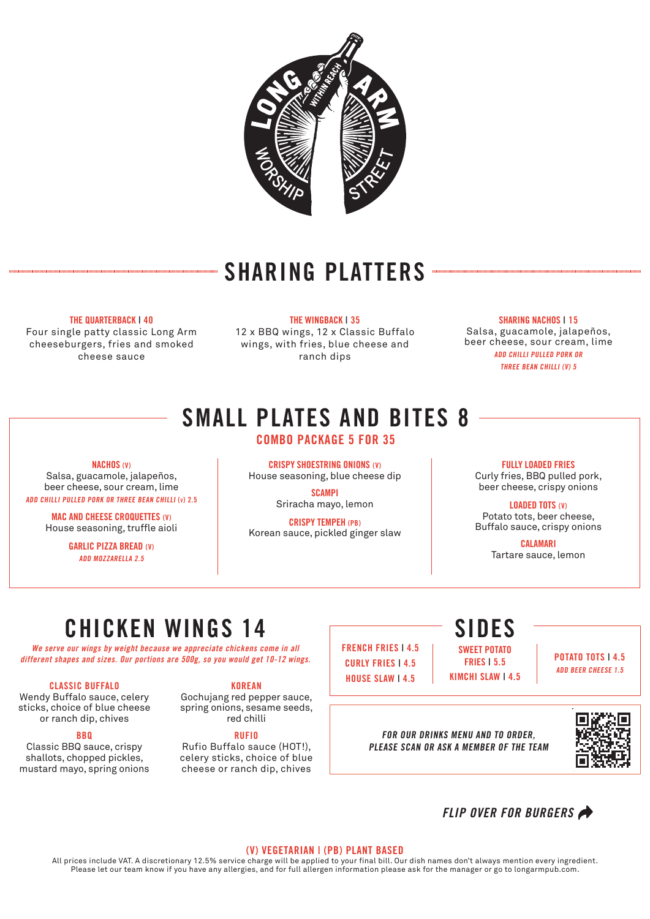

## SHARING PLATTERS

#### THE QUARTERBACK | 40

Four single patty classic Long Arm cheeseburgers, fries and smoked cheese sauce

THE WINGBACK | 35 12 x BBQ wings, 12 x Classic Buffalo wings, with fries, blue cheese and ranch dips

SHARING NACHOS | 15 Salsa, guacamole, jalapeños, beer cheese, sour cream, lime ADD CHILLI PULLED PORK OR THREE BEAN CHILLI (V) 5

# SMALL PLATES AND BITES 8

### COMBO PACKAGE 5 FOR 35

#### NACHOS (V)

Salsa, guacamole, jalapeños, beer cheese, sour cream, lime ADD CHILLI PULLED PORK OR THREE BEAN CHILLI (v) 2.5

> MAC AND CHEESE CROQUETTES (V) House seasoning, truffle aioli

> > GARLIC PIZZA BREAD (V) ADD MOZZARELLA 2.5

CRISPY SHOESTRING ONIONS (V) House seasoning, blue cheese dip **SCAMPI** 

Sriracha mayo, lemon

CRISPY TEMPEH (PB) Korean sauce, pickled ginger slaw

> FRENCH FRIES | 4.5 CURLY FRIES | 4.5 HOUSE SLAW LAS

FULLY LOADED FRIES Curly fries, BBQ pulled pork, beer cheese, crispy onions

LOADED TOTS (V) Potato tots, beer cheese, Buffalo sauce, crispy onions

> CALAMARI Tartare sauce, lemon

# CHICKEN WINGS 14

We serve our wings by weight because we appreciate chickens come in all different shapes and sizes. Our portions are 500g, so you would get 10-12 wings.

#### CLASSIC BUFFALO

Wendy Buffalo sauce, celery sticks, choice of blue cheese or ranch dip, chives

#### **BBQ**

Classic BBQ sauce, crispy shallots, chopped pickles, mustard mayo, spring onions

#### KOREAN

Gochujang red pepper sauce, spring onions, sesame seeds, red chilli

#### RUFIO

Rufio Buffalo sauce (HOT!), celery sticks, choice of blue cheese or ranch dip, chives

FOR OUR DRINKS MENU AND TO ORDER, PLEASE SCAN OR ASK A MEMBER OF THE TEAM

SIDES

SWEET POTATO FRIES | 5.5 KIMCHI SLAW | 4.5



POTATO TOTS | 4.5 ADD BEER CHEESE 1.5

FLIP OVER FOR BURGERS

#### (V) VEGETARIAN | (PB) PLANT BASED

All prices include VAT. A discretionary 12.5% service charge will be applied to your final bill. Our dish names don't always mention every ingredient. Please let our team know if you have any allergies, and for full allergen information please ask for the manager or go to longarmpub.com.